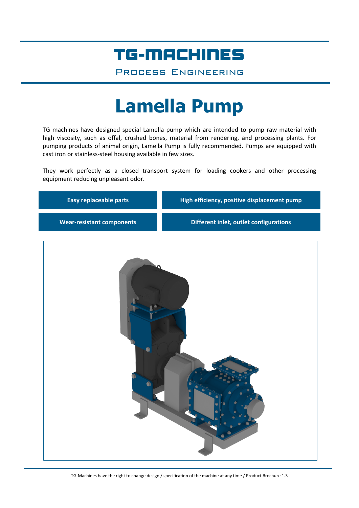## TG-MACHINES

Process Engineering

# **Lamella Pump**

TG machines have designed special Lamella pump which are intended to pump raw material with high viscosity, such as offal, crushed bones, material from rendering, and processing plants. For pumping products of animal origin, Lamella Pump is fully recommended. Pumps are equipped with cast iron or stainless-steel housing available in few sizes.

They work perfectly as a closed transport system for loading cookers and other processing equipment reducing unpleasant odor.

| <b>Easy replaceable parts</b>    | High efficiency, positive displacement pump |
|----------------------------------|---------------------------------------------|
| <b>Wear-resistant components</b> | Different inlet, outlet configurations      |